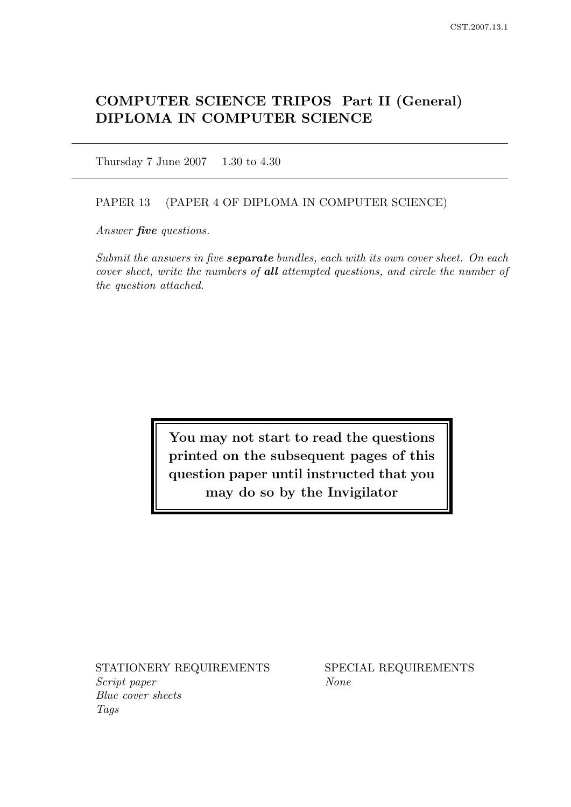# COMPUTER SCIENCE TRIPOS Part II (General) DIPLOMA IN COMPUTER SCIENCE

Thursday 7 June 2007 1.30 to 4.30

#### PAPER 13 (PAPER 4 OF DIPLOMA IN COMPUTER SCIENCE)

Answer *five* questions.

Submit the answers in five **separate** bundles, each with its own cover sheet. On each cover sheet, write the numbers of all attempted questions, and circle the number of the question attached.

> You may not start to read the questions printed on the subsequent pages of this question paper until instructed that you may do so by the Invigilator

STATIONERY REQUIREMENTS SPECIAL REQUIREMENTS Script paper None Blue cover sheets Tags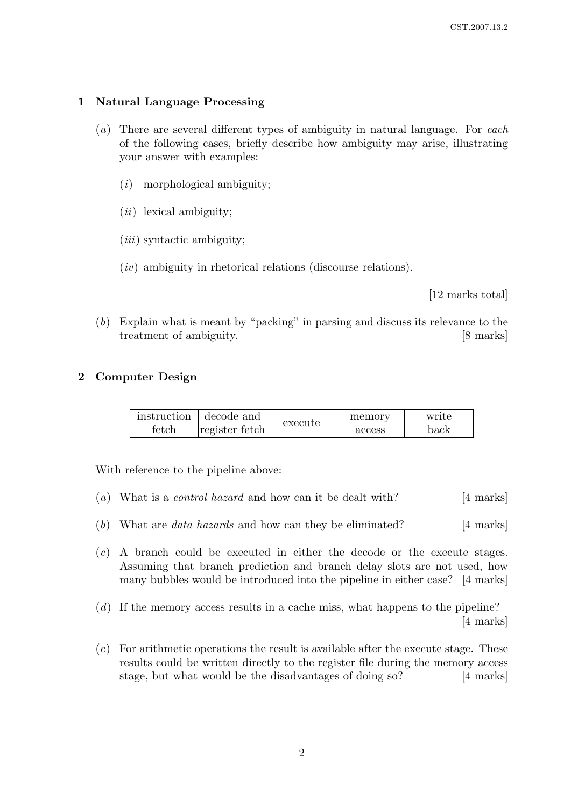## 1 Natural Language Processing

- (a) There are several different types of ambiguity in natural language. For each of the following cases, briefly describe how ambiguity may arise, illustrating your answer with examples:
	- $(i)$  morphological ambiguity;
	- $(ii)$  lexical ambiguity;
	- $(iii)$  syntactic ambiguity:
	- $(iv)$  ambiguity in rhetorical relations (discourse relations).

[12 marks total]

(b) Explain what is meant by "packing" in parsing and discuss its relevance to the treatment of ambiguity. [8 marks]

# 2 Computer Design

| instruction | decode and     | execute | memory | write |
|-------------|----------------|---------|--------|-------|
| tetch       | register fetch |         | access | back  |

With reference to the pipeline above:

- (a) What is a *control hazard* and how can it be dealt with?  $[4 \text{ marks}]$
- (b) What are *data hazards* and how can they be eliminated?  $[4 \text{ marks}]$
- (c) A branch could be executed in either the decode or the execute stages. Assuming that branch prediction and branch delay slots are not used, how many bubbles would be introduced into the pipeline in either case? [4 marks]
- (d) If the memory access results in a cache miss, what happens to the pipeline? [4 marks]
- (e) For arithmetic operations the result is available after the execute stage. These results could be written directly to the register file during the memory access stage, but what would be the disadvantages of doing so? [4 marks]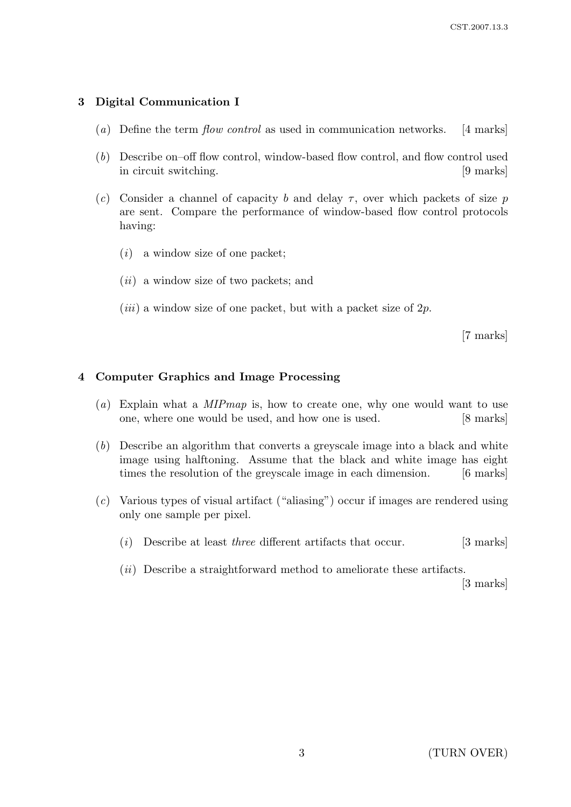# 3 Digital Communication I

- (a) Define the term flow control as used in communication networks. [4 marks]
- (b) Describe on–off flow control, window-based flow control, and flow control used in circuit switching. [9 marks]
- (c) Consider a channel of capacity b and delay  $\tau$ , over which packets of size p are sent. Compare the performance of window-based flow control protocols having:
	- $(i)$  a window size of one packet;
	- $(ii)$  a window size of two packets; and
	- (*iii*) a window size of one packet, but with a packet size of  $2p$ .

[7 marks]

#### 4 Computer Graphics and Image Processing

- (a) Explain what a MIPmap is, how to create one, why one would want to use one, where one would be used, and how one is used. [8 marks]
- (b) Describe an algorithm that converts a greyscale image into a black and white image using halftoning. Assume that the black and white image has eight times the resolution of the greyscale image in each dimension. [6 marks]
- (c) Various types of visual artifact ("aliasing") occur if images are rendered using only one sample per pixel.
	- (i) Describe at least *three* different artifacts that occur.  $[3 \text{ marks}]$
	- (*ii*) Describe a straightforward method to ameliorate these artifacts. [3 marks]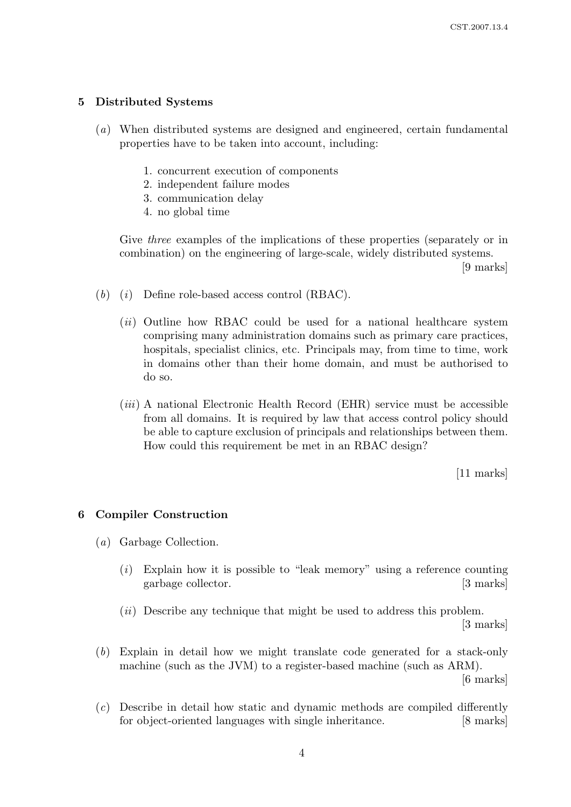## 5 Distributed Systems

- (a) When distributed systems are designed and engineered, certain fundamental properties have to be taken into account, including:
	- 1. concurrent execution of components
	- 2. independent failure modes
	- 3. communication delay
	- 4. no global time

Give *three* examples of the implications of these properties (separately or in combination) on the engineering of large-scale, widely distributed systems.

[9 marks]

- $(b)$   $(i)$  Define role-based access control (RBAC).
	- (*ii*) Outline how RBAC could be used for a national healthcare system comprising many administration domains such as primary care practices, hospitals, specialist clinics, etc. Principals may, from time to time, work in domains other than their home domain, and must be authorised to do so.
	- $(iii)$  A national Electronic Health Record (EHR) service must be accessible from all domains. It is required by law that access control policy should be able to capture exclusion of principals and relationships between them. How could this requirement be met in an RBAC design?

[11 marks]

#### 6 Compiler Construction

- (a) Garbage Collection.
	- $(i)$  Explain how it is possible to "leak memory" using a reference counting garbage collector. [3 marks]

 $(ii)$  Describe any technique that might be used to address this problem.

[3 marks]

(b) Explain in detail how we might translate code generated for a stack-only machine (such as the JVM) to a register-based machine (such as ARM).

[6 marks]

(c) Describe in detail how static and dynamic methods are compiled differently for object-oriented languages with single inheritance. [8 marks]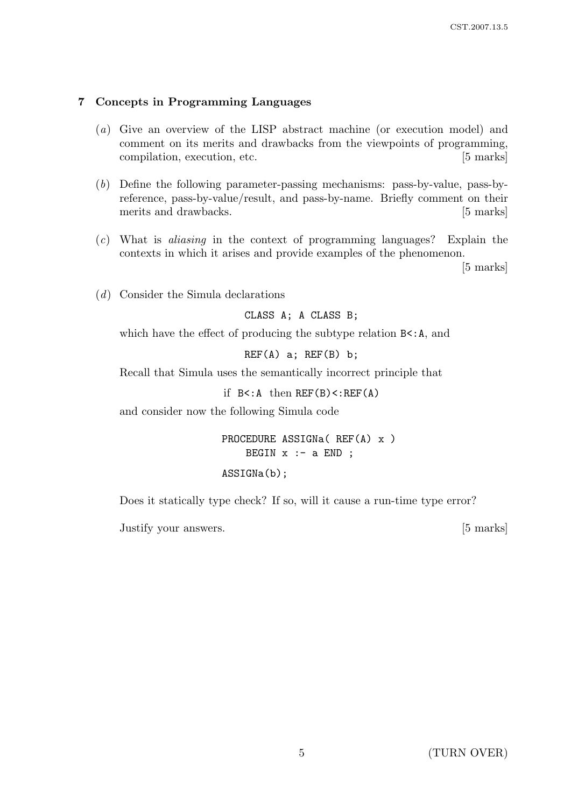### 7 Concepts in Programming Languages

- (a) Give an overview of the LISP abstract machine (or execution model) and comment on its merits and drawbacks from the viewpoints of programming, compilation, execution, etc. [5 marks]
- (b) Define the following parameter-passing mechanisms: pass-by-value, pass-byreference, pass-by-value/result, and pass-by-name. Briefly comment on their merits and drawbacks. [5 marks]
- (c) What is aliasing in the context of programming languages? Explain the contexts in which it arises and provide examples of the phenomenon.

[5 marks]

(d) Consider the Simula declarations

CLASS A; A CLASS B;

which have the effect of producing the subtype relation  $B \leq A$ , and

 $REF(A)$  a;  $REF(B)$  b;

Recall that Simula uses the semantically incorrect principle that

if  $B < A$  then  $REF(B) < EEF(A)$ 

and consider now the following Simula code

PROCEDURE ASSIGNa( REF(A) x ) BEGIN  $x : -a$  END ;

#### ASSIGNa(b);

Does it statically type check? If so, will it cause a run-time type error?

Justify your answers. [5 marks]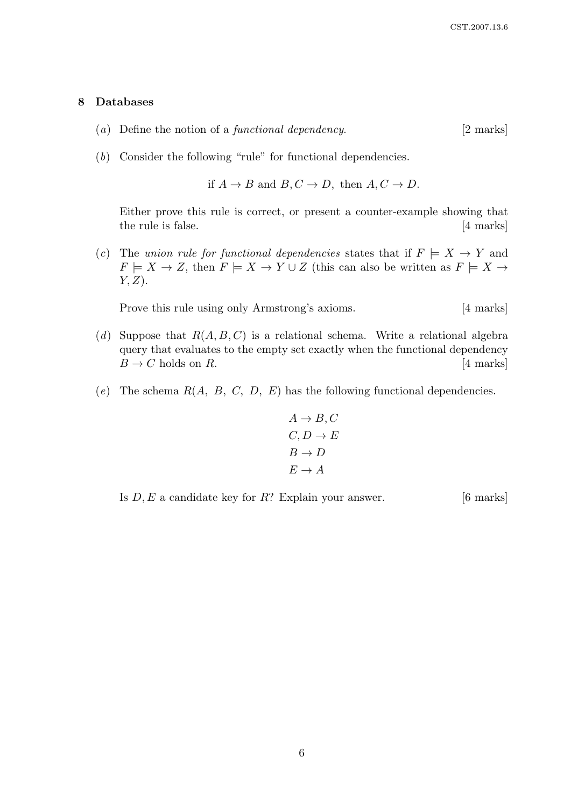#### 8 Databases

- (a) Define the notion of a *functional dependency*.  $[2 \text{ marks}]$
- (b) Consider the following "rule" for functional dependencies.

if 
$$
A \rightarrow B
$$
 and  $B, C \rightarrow D$ , then  $A, C \rightarrow D$ .

Either prove this rule is correct, or present a counter-example showing that the rule is false. [4 marks]

(c) The union rule for functional dependencies states that if  $F \models X \rightarrow Y$  and  $F \models X \to Z$ , then  $F \models X \to Y \cup Z$  (this can also be written as  $F \models X \to Z$  $Y, Z$ ).

Prove this rule using only Armstrong's axioms. [4 marks]

- (d) Suppose that  $R(A, B, C)$  is a relational schema. Write a relational algebra query that evaluates to the empty set exactly when the functional dependency  $B \to C$  holds on R. [4 marks]
- (e) The schema  $R(A, B, C, D, E)$  has the following functional dependencies.

$$
A \rightarrow B, C
$$
  

$$
C, D \rightarrow E
$$
  

$$
B \rightarrow D
$$
  

$$
E \rightarrow A
$$

Is  $D, E$  a candidate key for  $R$ ? Explain your answer. [6 marks]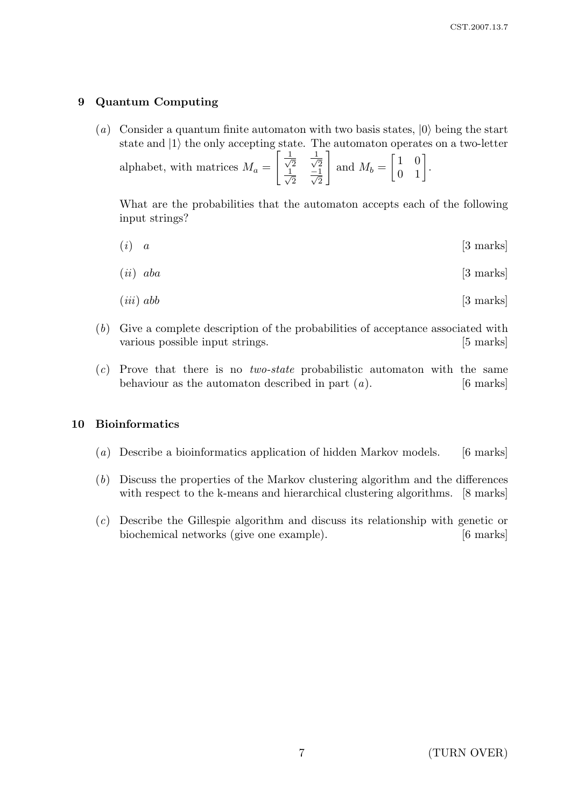# 9 Quantum Computing

(a) Consider a quantum finite automaton with two basis states,  $|0\rangle$  being the start state and  $|1\rangle$  the only accepting state. The automaton operates on a two-letter  $\lceil \frac{1}{2} \rceil$  $\overline{2}$   $\frac{1}{\sqrt{2}}$ 1

alphabet, with matrices  $M_a =$ 2  $\frac{1}{2}$  $\frac{-1}{2}$   $\frac{-1}{\sqrt{2}}$ and  $M_b =$  $\begin{bmatrix} 1 & 0 \\ 0 & 1 \end{bmatrix}$ .

What are the probabilities that the automaton accepts each of the following input strings?

 $(i)$  a [3 marks]

$$
(ii) \quad aba \tag{3 marks}
$$

$$
(iii) \; abb \qquad \qquad [3 \; marks]
$$

- (b) Give a complete description of the probabilities of acceptance associated with various possible input strings. [5 marks]
- (c) Prove that there is no two-state probabilistic automaton with the same behaviour as the automaton described in part  $(a)$ . [6 marks]

### 10 Bioinformatics

- (a) Describe a bioinformatics application of hidden Markov models. [6 marks]
- (b) Discuss the properties of the Markov clustering algorithm and the differences with respect to the k-means and hierarchical clustering algorithms. [8 marks]
- (c) Describe the Gillespie algorithm and discuss its relationship with genetic or biochemical networks (give one example). [6 marks]